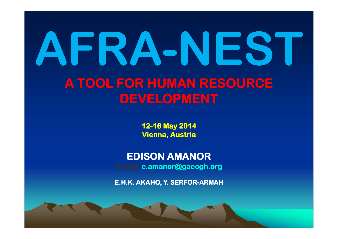## AFRA-NESTA TOOL FOR HUMAN RESOURCE DEVELOPMENT

12-16 May 2014<br>. .. Vienna, Austria

EDISON AMANORE-mail: e.amanor@gaecgh.org

E.H.K. AKAHO, Y. SERFOR-ARMAH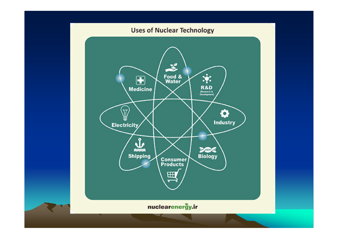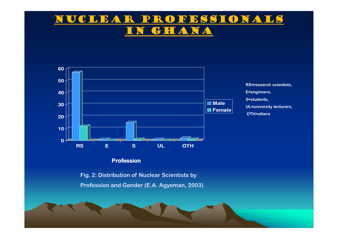#### Nuclear Professionals GHANA



#### Profession

Fig. 2: Distribution of Nuclear Scientists by Profession and Gender (E.A. Agyeman, 2003)

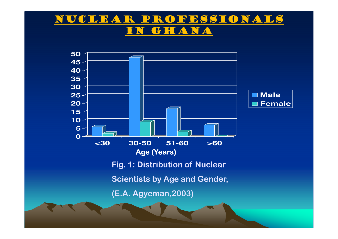#### Nuclear Professionals GHANA

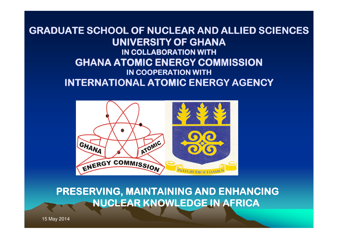#### GRADUATE SCHOOL OF NUCLEAR AND ALLIED SCIENCES GRADUATE SCHOOL OF ALLIED SCIENCESUNIVERSITY OF GHANAIN COLLABORATION WITH GHANA ATOMIC ENERGY COMMISSION GHANA IN COOPERATION WITH INTERNATIONAL ATOMIC ENERGY AGENCY



PRESERVING, MAINTAINING AND ENHANCING NUCLEAR KNOWLEDGE IN AFRICA

15 May 2014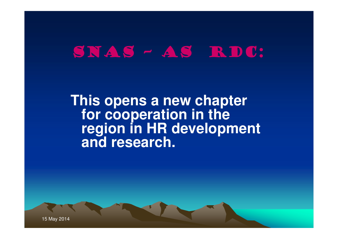#### SNAS - AS RDC:

**This opens a new chapter for cooperation in the region in HR development and research.**

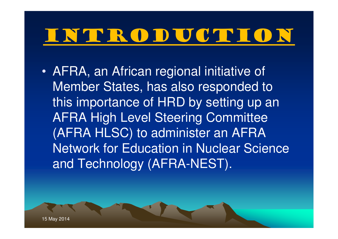• AFRA, an African regional initiative of Member States, has also responded to this importance of HRD by setting up an AFRA High Level Steering Committee (AFRA HLSC) to administer an AFRA Network for Education in Nuclear Science and Technology (AFRA-NEST).

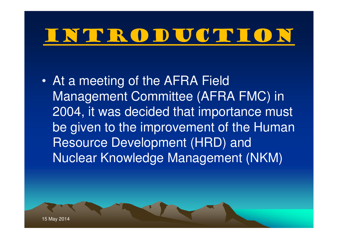• At a meeting of the AFRA Field Management Committee (AFRA FMC) in 2004, it was decided that importance must be given to the improvement of the Human Resource Development (HRD) and Nuclear Knowledge Management (NKM)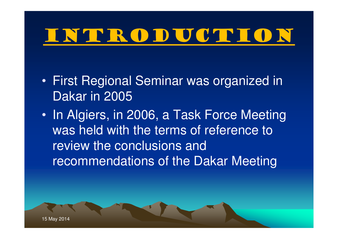- • First Regional Seminar was organized in Dakar in 2005
- •• In Algiers, in 2006, a Task Force Meeting was held with the terms of reference to review the conclusions and recommendations of the Dakar Meeting

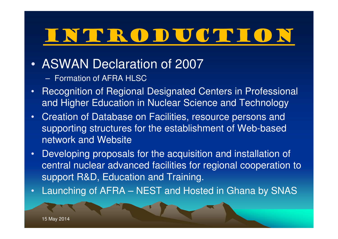- • ASWAN Declaration of 2007
	- Formation of AFRA HLSC
- Recognition of Regional Designated Centers in Professional •and Higher Education in Nuclear Science and Technology
- • Creation of Database on Facilities, resource persons and supporting structures for the establishment of Web-based network and Website
- • Developing proposals for the acquisition and installation of central nuclear advanced facilities for regional cooperation to support R&D, Education and Training.
- •Launching of AFRA – NEST and Hosted in Ghana by SNAS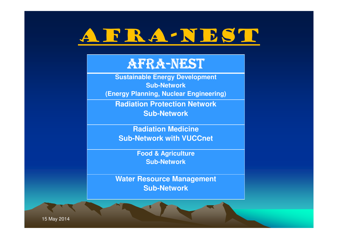

#### AFRA-NEST

 **Sustainable Energy DevelopmentSub-Network(Energy Planning, Nuclear Engineering)**

**Radiation Protection NetworkSub-Network**

**Radiation MedicineSub-Network with VUCCnet**

> **Food & AgricultureSub-Network**

**Water Resource ManagementSub-Network**

15 May 2014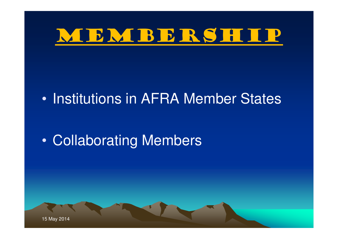

#### $\bullet$ • Institutions in AFRA Member States

#### $\bullet$ Collaborating Members

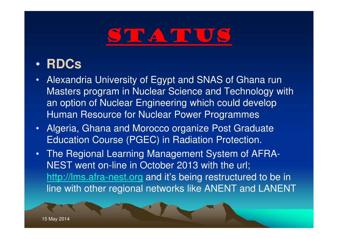#### STATUS

#### •**RDCs**

- Alexandria University of Egypt and SNAS of Ghana run  $\bullet$ Masters program in Nuclear Science and Technology with an option of Nuclear Engineering which could develop Human Resource for Nuclear Power Programmes
- •Algeria, Ghana and Morocco organize Post Graduate Education Course (PGEC) in Radiation Protection.
- • The Regional Learning Management System of AFRA-NEST went on-line in October 2013 with the url; http://lms.afra-nest.org and it's being restructured to be in line with other regional networks like ANENT and LANENT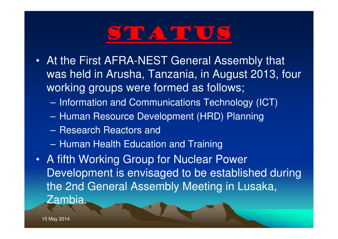### STATUS

- At the First AFRA-NEST General Assembly that •was held in Arusha, Tanzania, in August 2013, four working groups were formed as follows;
	- $\mathcal{L}_{\mathcal{A}}$ Information and Communications Technology (ICT)
	- –Human Resource Development (HRD) Planning
	- –Research Reactors and
	- $\sim$ Human Health Education and Training
- A fifth Working Group for Nuclear Power Development is envisaged to be established during the 2nd General Assembly Meeting in Lusaka, Zambia.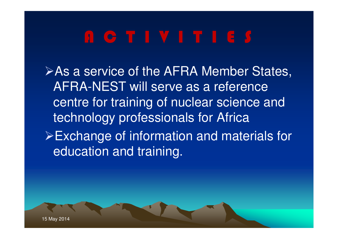**≻As a service of the AFRA Member States,** AFRA-NEST will serve as a reference centre for training of nuclear science and technology professionals for AfricaExchange of information and materials for education and training.

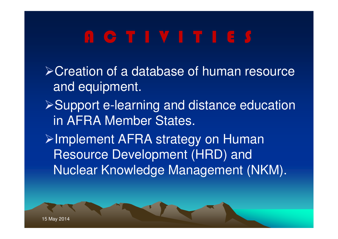**≻Creation of a database of human resource** and equipment.**≻Support e-learning and distance education** in AFRA Member States.**≻Implement AFRA strategy on Human** Resource Development (HRD) and Nuclear Knowledge Management (NKM).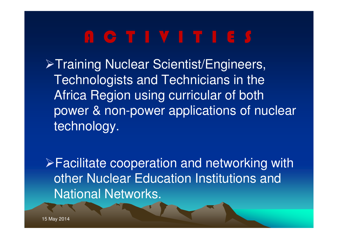**>Training Nuclear Scientist/Engineers,** Technologists and Technicians in the Africa Region using curricular of both power & non-power applications of nuclear technology.

Facilitate cooperation and networking with other Nuclear Education Institutions and National Networks.

15 May 2014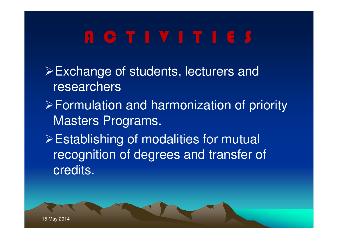- Exchange of students, lecturers and researchers
- Formulation and harmonization of priority Masters Programs.
- Establishing of modalities for mutual recognition of degrees and transfer of credits.

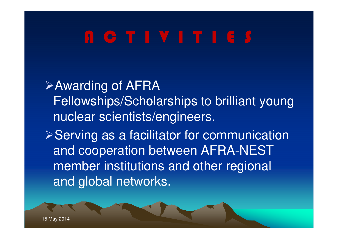**≻Awarding of AFRA** Fellowships/Scholarships to brilliant young nuclear scientists/engineers.**≻Serving as a facilitator for communication** and cooperation between AFRA-NEST member institutions and other regional and global networks.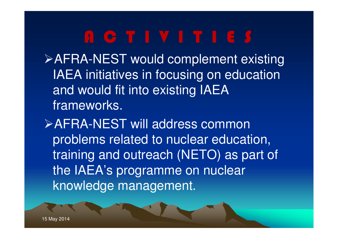AFRA-NEST would complement existing IAEA initiatives in focusing on education and would fit into existing IAEA frameworks.

AFRA-NEST will address common problems related to nuclear education, training and outreach (NETO) as part of the IAEA's programme on nuclear knowledge management.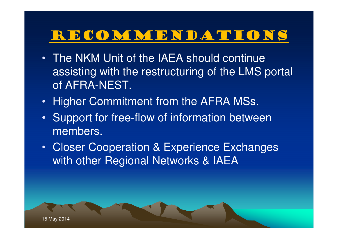#### RECOMMENDATIONS

- The NKM Unit of the IAEA should continue assisting with the restructuring of the LMS portal of AFRA-NEST.
- Higher Commitment from the AFRA MSs.
- Support for free-flow of information between members.
- Closer Cooperation & Experience Exchanges with other Regional Networks & IAEA

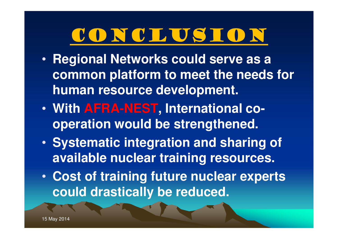### Conclusion

- Regional Networks could serve a **Regional Networks could serve as a common platform to meet the needs for human resource development.**
- • **With AFRA-NEST, International cooperation would be strengthened.**
- $\bullet$  **Systematic integration and sharing of available nuclear training resources.**
- • **Cost of training future nuclear experts could drastically be reduced.**